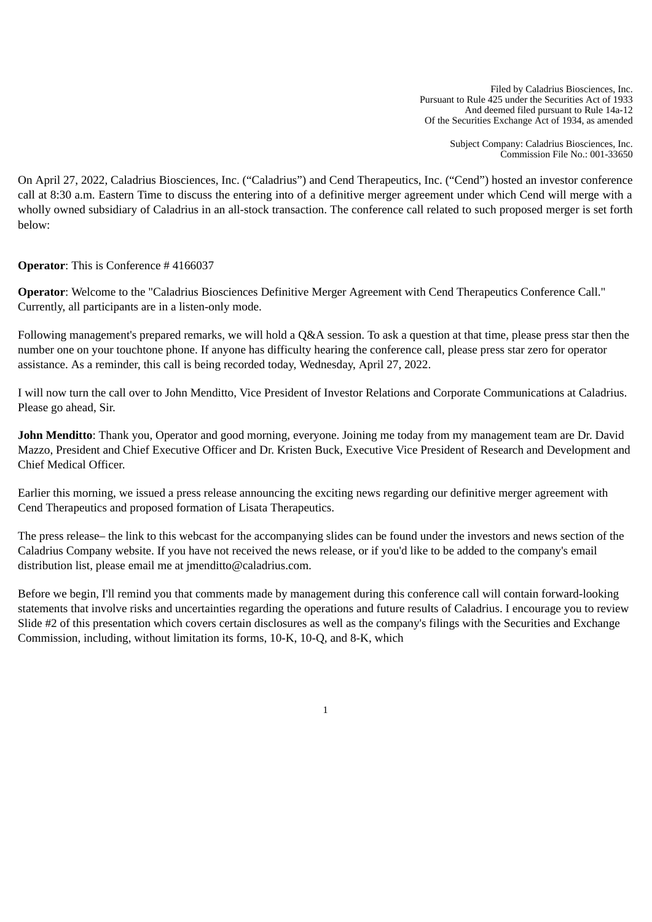Filed by Caladrius Biosciences, Inc. Pursuant to Rule 425 under the Securities Act of 1933 And deemed filed pursuant to Rule 14a-12 Of the Securities Exchange Act of 1934, as amended

> Subject Company: Caladrius Biosciences, Inc. Commission File No.: 001-33650

On April 27, 2022, Caladrius Biosciences, Inc. ("Caladrius") and Cend Therapeutics, Inc. ("Cend") hosted an investor conference call at 8:30 a.m. Eastern Time to discuss the entering into of a definitive merger agreement under which Cend will merge with a wholly owned subsidiary of Caladrius in an all-stock transaction. The conference call related to such proposed merger is set forth below:

**Operator**: This is Conference # 4166037

**Operator**: Welcome to the "Caladrius Biosciences Definitive Merger Agreement with Cend Therapeutics Conference Call." Currently, all participants are in a listen-only mode.

Following management's prepared remarks, we will hold a Q&A session. To ask a question at that time, please press star then the number one on your touchtone phone. If anyone has difficulty hearing the conference call, please press star zero for operator assistance. As a reminder, this call is being recorded today, Wednesday, April 27, 2022.

I will now turn the call over to John Menditto, Vice President of Investor Relations and Corporate Communications at Caladrius. Please go ahead, Sir.

**John Menditto**: Thank you, Operator and good morning, everyone. Joining me today from my management team are Dr. David Mazzo, President and Chief Executive Officer and Dr. Kristen Buck, Executive Vice President of Research and Development and Chief Medical Officer.

Earlier this morning, we issued a press release announcing the exciting news regarding our definitive merger agreement with Cend Therapeutics and proposed formation of Lisata Therapeutics.

The press release– the link to this webcast for the accompanying slides can be found under the investors and news section of the Caladrius Company website. If you have not received the news release, or if you'd like to be added to the company's email distribution list, please email me at jmenditto@caladrius.com.

Before we begin, I'll remind you that comments made by management during this conference call will contain forward-looking statements that involve risks and uncertainties regarding the operations and future results of Caladrius. I encourage you to review Slide #2 of this presentation which covers certain disclosures as well as the company's filings with the Securities and Exchange Commission, including, without limitation its forms, 10-K, 10-Q, and 8-K, which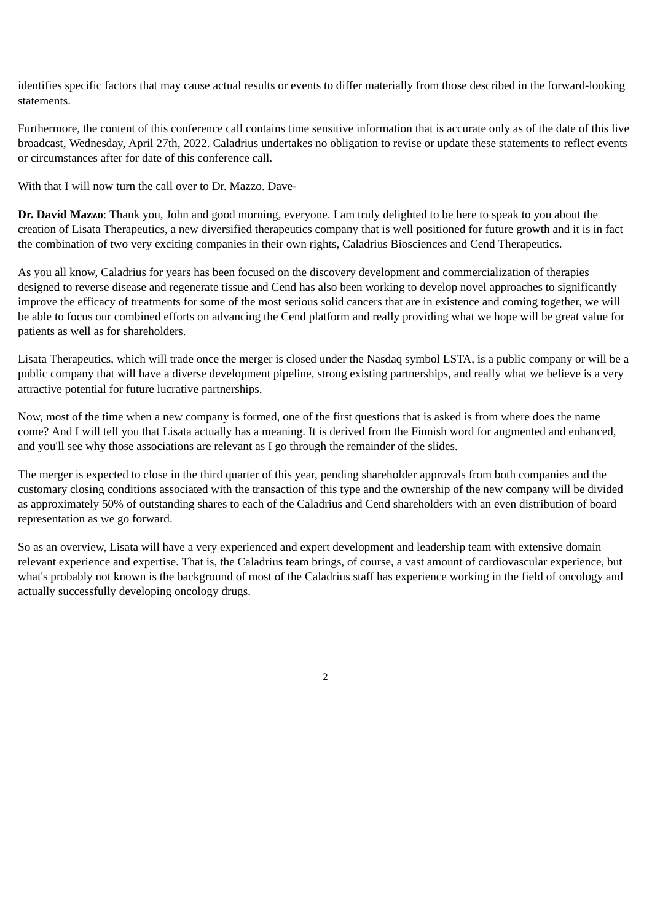identifies specific factors that may cause actual results or events to differ materially from those described in the forward-looking statements.

Furthermore, the content of this conference call contains time sensitive information that is accurate only as of the date of this live broadcast, Wednesday, April 27th, 2022. Caladrius undertakes no obligation to revise or update these statements to reflect events or circumstances after for date of this conference call.

With that I will now turn the call over to Dr. Mazzo. Dave-

**Dr. David Mazzo**: Thank you, John and good morning, everyone. I am truly delighted to be here to speak to you about the creation of Lisata Therapeutics, a new diversified therapeutics company that is well positioned for future growth and it is in fact the combination of two very exciting companies in their own rights, Caladrius Biosciences and Cend Therapeutics.

As you all know, Caladrius for years has been focused on the discovery development and commercialization of therapies designed to reverse disease and regenerate tissue and Cend has also been working to develop novel approaches to significantly improve the efficacy of treatments for some of the most serious solid cancers that are in existence and coming together, we will be able to focus our combined efforts on advancing the Cend platform and really providing what we hope will be great value for patients as well as for shareholders.

Lisata Therapeutics, which will trade once the merger is closed under the Nasdaq symbol LSTA, is a public company or will be a public company that will have a diverse development pipeline, strong existing partnerships, and really what we believe is a very attractive potential for future lucrative partnerships.

Now, most of the time when a new company is formed, one of the first questions that is asked is from where does the name come? And I will tell you that Lisata actually has a meaning. It is derived from the Finnish word for augmented and enhanced, and you'll see why those associations are relevant as I go through the remainder of the slides.

The merger is expected to close in the third quarter of this year, pending shareholder approvals from both companies and the customary closing conditions associated with the transaction of this type and the ownership of the new company will be divided as approximately 50% of outstanding shares to each of the Caladrius and Cend shareholders with an even distribution of board representation as we go forward.

So as an overview, Lisata will have a very experienced and expert development and leadership team with extensive domain relevant experience and expertise. That is, the Caladrius team brings, of course, a vast amount of cardiovascular experience, but what's probably not known is the background of most of the Caladrius staff has experience working in the field of oncology and actually successfully developing oncology drugs.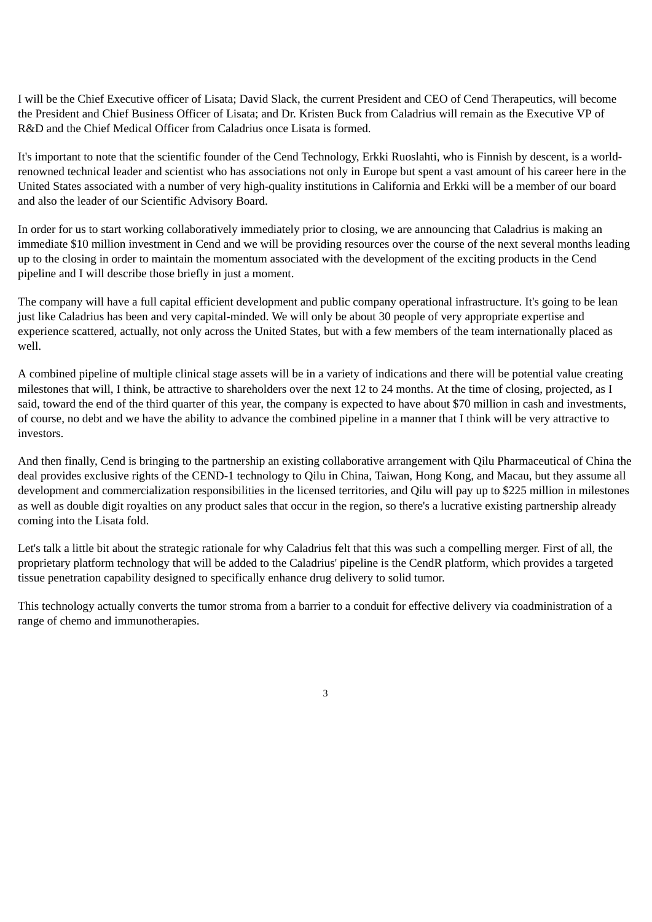I will be the Chief Executive officer of Lisata; David Slack, the current President and CEO of Cend Therapeutics, will become the President and Chief Business Officer of Lisata; and Dr. Kristen Buck from Caladrius will remain as the Executive VP of R&D and the Chief Medical Officer from Caladrius once Lisata is formed.

It's important to note that the scientific founder of the Cend Technology, Erkki Ruoslahti, who is Finnish by descent, is a worldrenowned technical leader and scientist who has associations not only in Europe but spent a vast amount of his career here in the United States associated with a number of very high-quality institutions in California and Erkki will be a member of our board and also the leader of our Scientific Advisory Board.

In order for us to start working collaboratively immediately prior to closing, we are announcing that Caladrius is making an immediate \$10 million investment in Cend and we will be providing resources over the course of the next several months leading up to the closing in order to maintain the momentum associated with the development of the exciting products in the Cend pipeline and I will describe those briefly in just a moment.

The company will have a full capital efficient development and public company operational infrastructure. It's going to be lean just like Caladrius has been and very capital-minded. We will only be about 30 people of very appropriate expertise and experience scattered, actually, not only across the United States, but with a few members of the team internationally placed as well.

A combined pipeline of multiple clinical stage assets will be in a variety of indications and there will be potential value creating milestones that will, I think, be attractive to shareholders over the next 12 to 24 months. At the time of closing, projected, as I said, toward the end of the third quarter of this year, the company is expected to have about \$70 million in cash and investments, of course, no debt and we have the ability to advance the combined pipeline in a manner that I think will be very attractive to investors.

And then finally, Cend is bringing to the partnership an existing collaborative arrangement with Qilu Pharmaceutical of China the deal provides exclusive rights of the CEND-1 technology to Qilu in China, Taiwan, Hong Kong, and Macau, but they assume all development and commercialization responsibilities in the licensed territories, and Qilu will pay up to \$225 million in milestones as well as double digit royalties on any product sales that occur in the region, so there's a lucrative existing partnership already coming into the Lisata fold.

Let's talk a little bit about the strategic rationale for why Caladrius felt that this was such a compelling merger. First of all, the proprietary platform technology that will be added to the Caladrius' pipeline is the CendR platform, which provides a targeted tissue penetration capability designed to specifically enhance drug delivery to solid tumor.

This technology actually converts the tumor stroma from a barrier to a conduit for effective delivery via coadministration of a range of chemo and immunotherapies.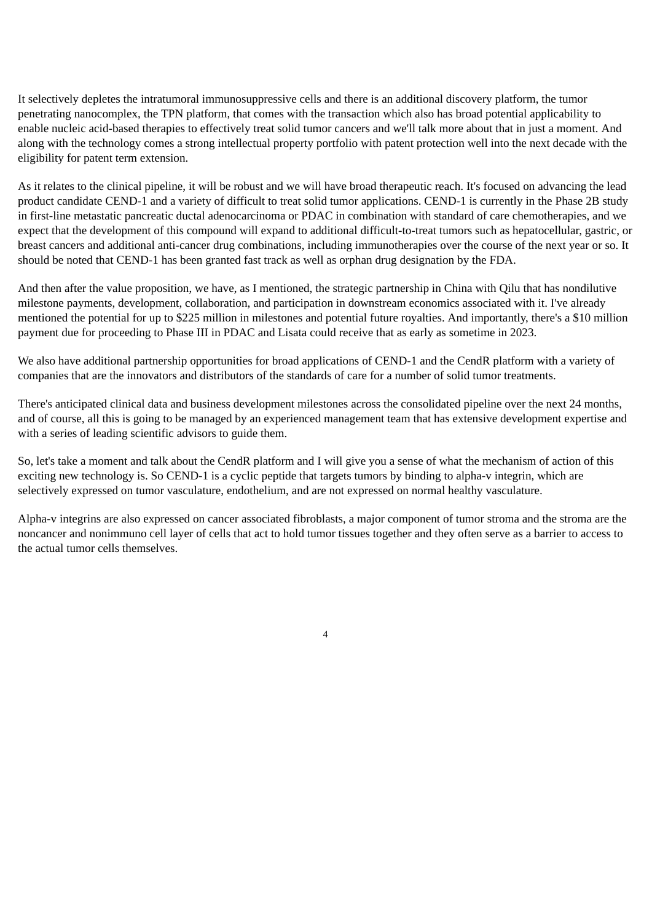It selectively depletes the intratumoral immunosuppressive cells and there is an additional discovery platform, the tumor penetrating nanocomplex, the TPN platform, that comes with the transaction which also has broad potential applicability to enable nucleic acid-based therapies to effectively treat solid tumor cancers and we'll talk more about that in just a moment. And along with the technology comes a strong intellectual property portfolio with patent protection well into the next decade with the eligibility for patent term extension.

As it relates to the clinical pipeline, it will be robust and we will have broad therapeutic reach. It's focused on advancing the lead product candidate CEND-1 and a variety of difficult to treat solid tumor applications. CEND-1 is currently in the Phase 2B study in first-line metastatic pancreatic ductal adenocarcinoma or PDAC in combination with standard of care chemotherapies, and we expect that the development of this compound will expand to additional difficult-to-treat tumors such as hepatocellular, gastric, or breast cancers and additional anti-cancer drug combinations, including immunotherapies over the course of the next year or so. It should be noted that CEND-1 has been granted fast track as well as orphan drug designation by the FDA.

And then after the value proposition, we have, as I mentioned, the strategic partnership in China with Qilu that has nondilutive milestone payments, development, collaboration, and participation in downstream economics associated with it. I've already mentioned the potential for up to \$225 million in milestones and potential future royalties. And importantly, there's a \$10 million payment due for proceeding to Phase III in PDAC and Lisata could receive that as early as sometime in 2023.

We also have additional partnership opportunities for broad applications of CEND-1 and the CendR platform with a variety of companies that are the innovators and distributors of the standards of care for a number of solid tumor treatments.

There's anticipated clinical data and business development milestones across the consolidated pipeline over the next 24 months, and of course, all this is going to be managed by an experienced management team that has extensive development expertise and with a series of leading scientific advisors to guide them.

So, let's take a moment and talk about the CendR platform and I will give you a sense of what the mechanism of action of this exciting new technology is. So CEND-1 is a cyclic peptide that targets tumors by binding to alpha-v integrin, which are selectively expressed on tumor vasculature, endothelium, and are not expressed on normal healthy vasculature.

Alpha-v integrins are also expressed on cancer associated fibroblasts, a major component of tumor stroma and the stroma are the noncancer and nonimmuno cell layer of cells that act to hold tumor tissues together and they often serve as a barrier to access to the actual tumor cells themselves.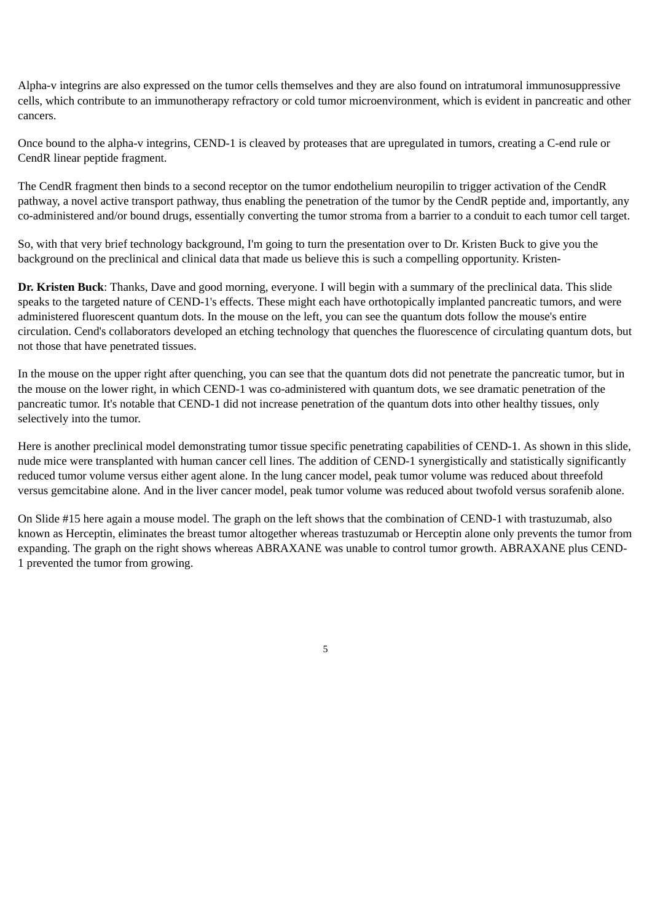Alpha-v integrins are also expressed on the tumor cells themselves and they are also found on intratumoral immunosuppressive cells, which contribute to an immunotherapy refractory or cold tumor microenvironment, which is evident in pancreatic and other cancers.

Once bound to the alpha-v integrins, CEND-1 is cleaved by proteases that are upregulated in tumors, creating a C-end rule or CendR linear peptide fragment.

The CendR fragment then binds to a second receptor on the tumor endothelium neuropilin to trigger activation of the CendR pathway, a novel active transport pathway, thus enabling the penetration of the tumor by the CendR peptide and, importantly, any co-administered and/or bound drugs, essentially converting the tumor stroma from a barrier to a conduit to each tumor cell target.

So, with that very brief technology background, I'm going to turn the presentation over to Dr. Kristen Buck to give you the background on the preclinical and clinical data that made us believe this is such a compelling opportunity. Kristen-

**Dr. Kristen Buck**: Thanks, Dave and good morning, everyone. I will begin with a summary of the preclinical data. This slide speaks to the targeted nature of CEND-1's effects. These might each have orthotopically implanted pancreatic tumors, and were administered fluorescent quantum dots. In the mouse on the left, you can see the quantum dots follow the mouse's entire circulation. Cend's collaborators developed an etching technology that quenches the fluorescence of circulating quantum dots, but not those that have penetrated tissues.

In the mouse on the upper right after quenching, you can see that the quantum dots did not penetrate the pancreatic tumor, but in the mouse on the lower right, in which CEND-1 was co-administered with quantum dots, we see dramatic penetration of the pancreatic tumor. It's notable that CEND-1 did not increase penetration of the quantum dots into other healthy tissues, only selectively into the tumor.

Here is another preclinical model demonstrating tumor tissue specific penetrating capabilities of CEND-1. As shown in this slide, nude mice were transplanted with human cancer cell lines. The addition of CEND-1 synergistically and statistically significantly reduced tumor volume versus either agent alone. In the lung cancer model, peak tumor volume was reduced about threefold versus gemcitabine alone. And in the liver cancer model, peak tumor volume was reduced about twofold versus sorafenib alone.

On Slide #15 here again a mouse model. The graph on the left shows that the combination of CEND-1 with trastuzumab, also known as Herceptin, eliminates the breast tumor altogether whereas trastuzumab or Herceptin alone only prevents the tumor from expanding. The graph on the right shows whereas ABRAXANE was unable to control tumor growth. ABRAXANE plus CEND-1 prevented the tumor from growing.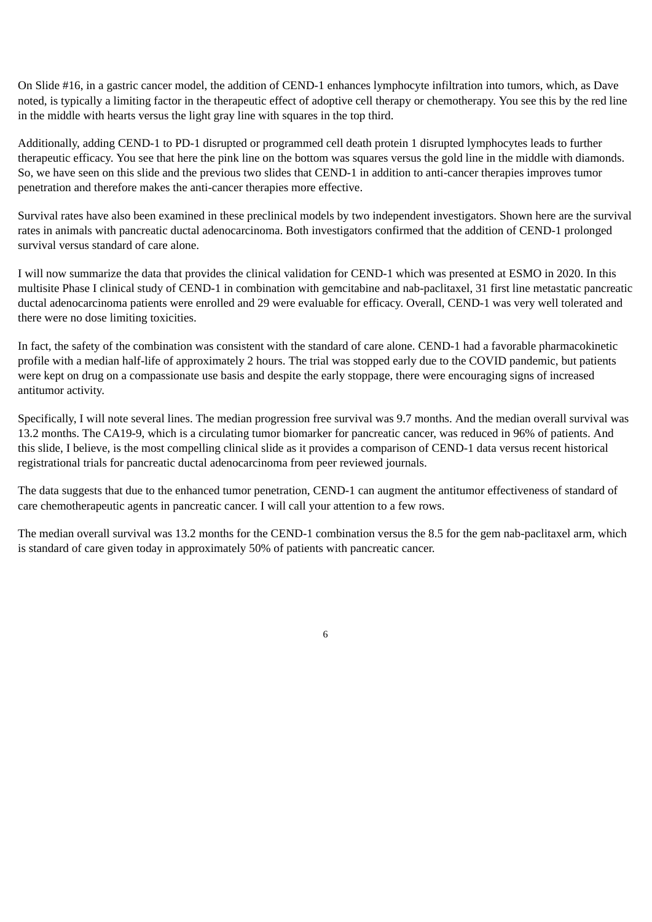On Slide #16, in a gastric cancer model, the addition of CEND-1 enhances lymphocyte infiltration into tumors, which, as Dave noted, is typically a limiting factor in the therapeutic effect of adoptive cell therapy or chemotherapy. You see this by the red line in the middle with hearts versus the light gray line with squares in the top third.

Additionally, adding CEND-1 to PD-1 disrupted or programmed cell death protein 1 disrupted lymphocytes leads to further therapeutic efficacy. You see that here the pink line on the bottom was squares versus the gold line in the middle with diamonds. So, we have seen on this slide and the previous two slides that CEND-1 in addition to anti-cancer therapies improves tumor penetration and therefore makes the anti-cancer therapies more effective.

Survival rates have also been examined in these preclinical models by two independent investigators. Shown here are the survival rates in animals with pancreatic ductal adenocarcinoma. Both investigators confirmed that the addition of CEND-1 prolonged survival versus standard of care alone.

I will now summarize the data that provides the clinical validation for CEND-1 which was presented at ESMO in 2020. In this multisite Phase I clinical study of CEND-1 in combination with gemcitabine and nab-paclitaxel, 31 first line metastatic pancreatic ductal adenocarcinoma patients were enrolled and 29 were evaluable for efficacy. Overall, CEND-1 was very well tolerated and there were no dose limiting toxicities.

In fact, the safety of the combination was consistent with the standard of care alone. CEND-1 had a favorable pharmacokinetic profile with a median half-life of approximately 2 hours. The trial was stopped early due to the COVID pandemic, but patients were kept on drug on a compassionate use basis and despite the early stoppage, there were encouraging signs of increased antitumor activity.

Specifically, I will note several lines. The median progression free survival was 9.7 months. And the median overall survival was 13.2 months. The CA19-9, which is a circulating tumor biomarker for pancreatic cancer, was reduced in 96% of patients. And this slide, I believe, is the most compelling clinical slide as it provides a comparison of CEND-1 data versus recent historical registrational trials for pancreatic ductal adenocarcinoma from peer reviewed journals.

The data suggests that due to the enhanced tumor penetration, CEND-1 can augment the antitumor effectiveness of standard of care chemotherapeutic agents in pancreatic cancer. I will call your attention to a few rows.

The median overall survival was 13.2 months for the CEND-1 combination versus the 8.5 for the gem nab-paclitaxel arm, which is standard of care given today in approximately 50% of patients with pancreatic cancer.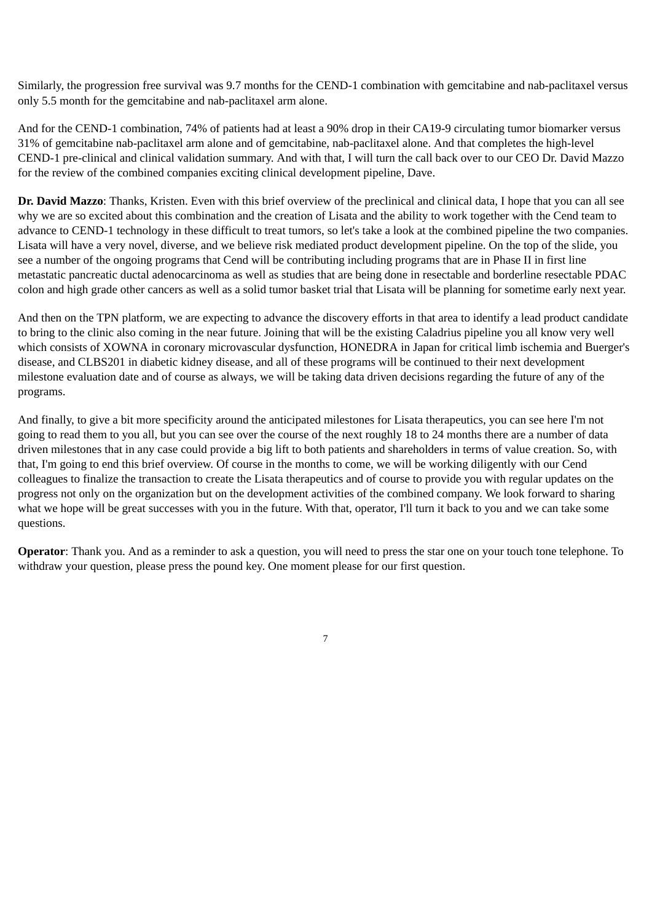Similarly, the progression free survival was 9.7 months for the CEND-1 combination with gemcitabine and nab-paclitaxel versus only 5.5 month for the gemcitabine and nab-paclitaxel arm alone.

And for the CEND-1 combination, 74% of patients had at least a 90% drop in their CA19-9 circulating tumor biomarker versus 31% of gemcitabine nab-paclitaxel arm alone and of gemcitabine, nab-paclitaxel alone. And that completes the high-level CEND-1 pre-clinical and clinical validation summary. And with that, I will turn the call back over to our CEO Dr. David Mazzo for the review of the combined companies exciting clinical development pipeline, Dave.

**Dr. David Mazzo**: Thanks, Kristen. Even with this brief overview of the preclinical and clinical data, I hope that you can all see why we are so excited about this combination and the creation of Lisata and the ability to work together with the Cend team to advance to CEND-1 technology in these difficult to treat tumors, so let's take a look at the combined pipeline the two companies. Lisata will have a very novel, diverse, and we believe risk mediated product development pipeline. On the top of the slide, you see a number of the ongoing programs that Cend will be contributing including programs that are in Phase II in first line metastatic pancreatic ductal adenocarcinoma as well as studies that are being done in resectable and borderline resectable PDAC colon and high grade other cancers as well as a solid tumor basket trial that Lisata will be planning for sometime early next year.

And then on the TPN platform, we are expecting to advance the discovery efforts in that area to identify a lead product candidate to bring to the clinic also coming in the near future. Joining that will be the existing Caladrius pipeline you all know very well which consists of XOWNA in coronary microvascular dysfunction, HONEDRA in Japan for critical limb ischemia and Buerger's disease, and CLBS201 in diabetic kidney disease, and all of these programs will be continued to their next development milestone evaluation date and of course as always, we will be taking data driven decisions regarding the future of any of the programs.

And finally, to give a bit more specificity around the anticipated milestones for Lisata therapeutics, you can see here I'm not going to read them to you all, but you can see over the course of the next roughly 18 to 24 months there are a number of data driven milestones that in any case could provide a big lift to both patients and shareholders in terms of value creation. So, with that, I'm going to end this brief overview. Of course in the months to come, we will be working diligently with our Cend colleagues to finalize the transaction to create the Lisata therapeutics and of course to provide you with regular updates on the progress not only on the organization but on the development activities of the combined company. We look forward to sharing what we hope will be great successes with you in the future. With that, operator, I'll turn it back to you and we can take some questions.

**Operator**: Thank you. And as a reminder to ask a question, you will need to press the star one on your touch tone telephone. To withdraw your question, please press the pound key. One moment please for our first question.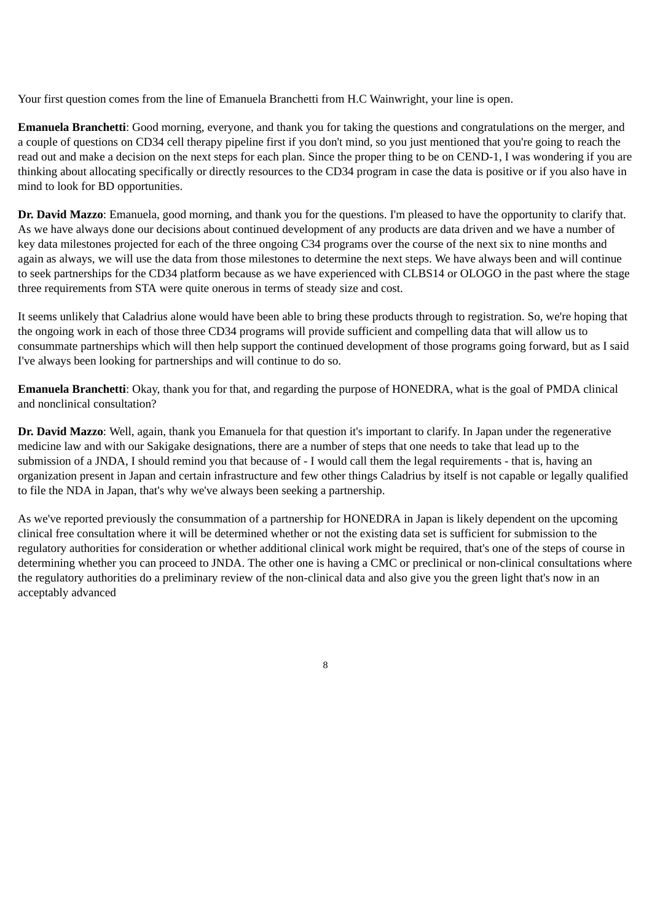Your first question comes from the line of Emanuela Branchetti from H.C Wainwright, your line is open.

**Emanuela Branchetti**: Good morning, everyone, and thank you for taking the questions and congratulations on the merger, and a couple of questions on CD34 cell therapy pipeline first if you don't mind, so you just mentioned that you're going to reach the read out and make a decision on the next steps for each plan. Since the proper thing to be on CEND-1, I was wondering if you are thinking about allocating specifically or directly resources to the CD34 program in case the data is positive or if you also have in mind to look for BD opportunities.

**Dr. David Mazzo**: Emanuela, good morning, and thank you for the questions. I'm pleased to have the opportunity to clarify that. As we have always done our decisions about continued development of any products are data driven and we have a number of key data milestones projected for each of the three ongoing C34 programs over the course of the next six to nine months and again as always, we will use the data from those milestones to determine the next steps. We have always been and will continue to seek partnerships for the CD34 platform because as we have experienced with CLBS14 or OLOGO in the past where the stage three requirements from STA were quite onerous in terms of steady size and cost.

It seems unlikely that Caladrius alone would have been able to bring these products through to registration. So, we're hoping that the ongoing work in each of those three CD34 programs will provide sufficient and compelling data that will allow us to consummate partnerships which will then help support the continued development of those programs going forward, but as I said I've always been looking for partnerships and will continue to do so.

**Emanuela Branchetti**: Okay, thank you for that, and regarding the purpose of HONEDRA, what is the goal of PMDA clinical and nonclinical consultation?

**Dr. David Mazzo**: Well, again, thank you Emanuela for that question it's important to clarify. In Japan under the regenerative medicine law and with our Sakigake designations, there are a number of steps that one needs to take that lead up to the submission of a JNDA, I should remind you that because of - I would call them the legal requirements - that is, having an organization present in Japan and certain infrastructure and few other things Caladrius by itself is not capable or legally qualified to file the NDA in Japan, that's why we've always been seeking a partnership.

As we've reported previously the consummation of a partnership for HONEDRA in Japan is likely dependent on the upcoming clinical free consultation where it will be determined whether or not the existing data set is sufficient for submission to the regulatory authorities for consideration or whether additional clinical work might be required, that's one of the steps of course in determining whether you can proceed to JNDA. The other one is having a CMC or preclinical or non-clinical consultations where the regulatory authorities do a preliminary review of the non-clinical data and also give you the green light that's now in an acceptably advanced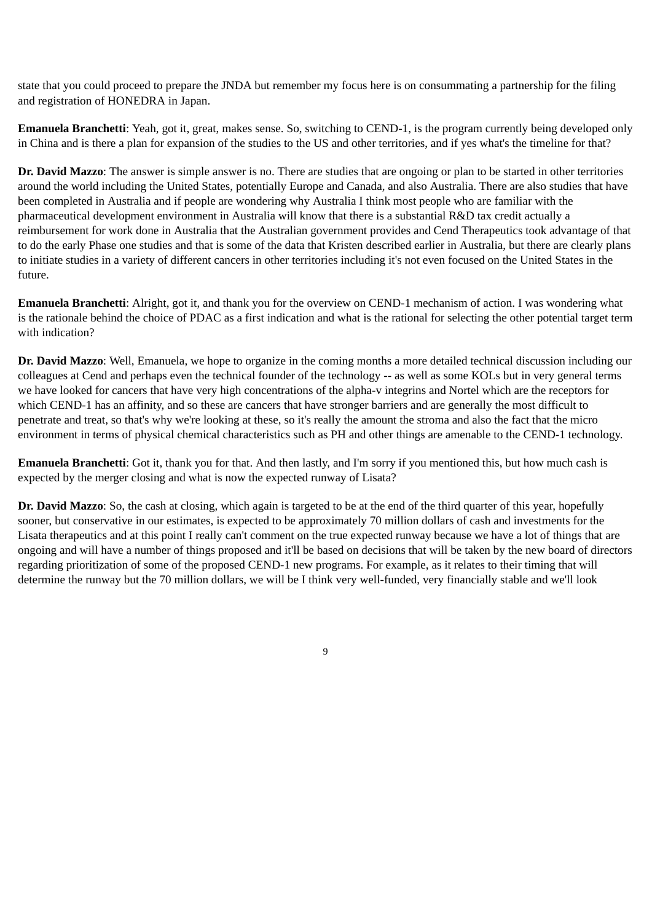state that you could proceed to prepare the JNDA but remember my focus here is on consummating a partnership for the filing and registration of HONEDRA in Japan.

**Emanuela Branchetti**: Yeah, got it, great, makes sense. So, switching to CEND-1, is the program currently being developed only in China and is there a plan for expansion of the studies to the US and other territories, and if yes what's the timeline for that?

**Dr. David Mazzo**: The answer is simple answer is no. There are studies that are ongoing or plan to be started in other territories around the world including the United States, potentially Europe and Canada, and also Australia. There are also studies that have been completed in Australia and if people are wondering why Australia I think most people who are familiar with the pharmaceutical development environment in Australia will know that there is a substantial R&D tax credit actually a reimbursement for work done in Australia that the Australian government provides and Cend Therapeutics took advantage of that to do the early Phase one studies and that is some of the data that Kristen described earlier in Australia, but there are clearly plans to initiate studies in a variety of different cancers in other territories including it's not even focused on the United States in the future.

**Emanuela Branchetti**: Alright, got it, and thank you for the overview on CEND-1 mechanism of action. I was wondering what is the rationale behind the choice of PDAC as a first indication and what is the rational for selecting the other potential target term with indication?

**Dr. David Mazzo**: Well, Emanuela, we hope to organize in the coming months a more detailed technical discussion including our colleagues at Cend and perhaps even the technical founder of the technology -- as well as some KOLs but in very general terms we have looked for cancers that have very high concentrations of the alpha-v integrins and Nortel which are the receptors for which CEND-1 has an affinity, and so these are cancers that have stronger barriers and are generally the most difficult to penetrate and treat, so that's why we're looking at these, so it's really the amount the stroma and also the fact that the micro environment in terms of physical chemical characteristics such as PH and other things are amenable to the CEND-1 technology.

**Emanuela Branchetti**: Got it, thank you for that. And then lastly, and I'm sorry if you mentioned this, but how much cash is expected by the merger closing and what is now the expected runway of Lisata?

**Dr. David Mazzo**: So, the cash at closing, which again is targeted to be at the end of the third quarter of this year, hopefully sooner, but conservative in our estimates, is expected to be approximately 70 million dollars of cash and investments for the Lisata therapeutics and at this point I really can't comment on the true expected runway because we have a lot of things that are ongoing and will have a number of things proposed and it'll be based on decisions that will be taken by the new board of directors regarding prioritization of some of the proposed CEND-1 new programs. For example, as it relates to their timing that will determine the runway but the 70 million dollars, we will be I think very well-funded, very financially stable and we'll look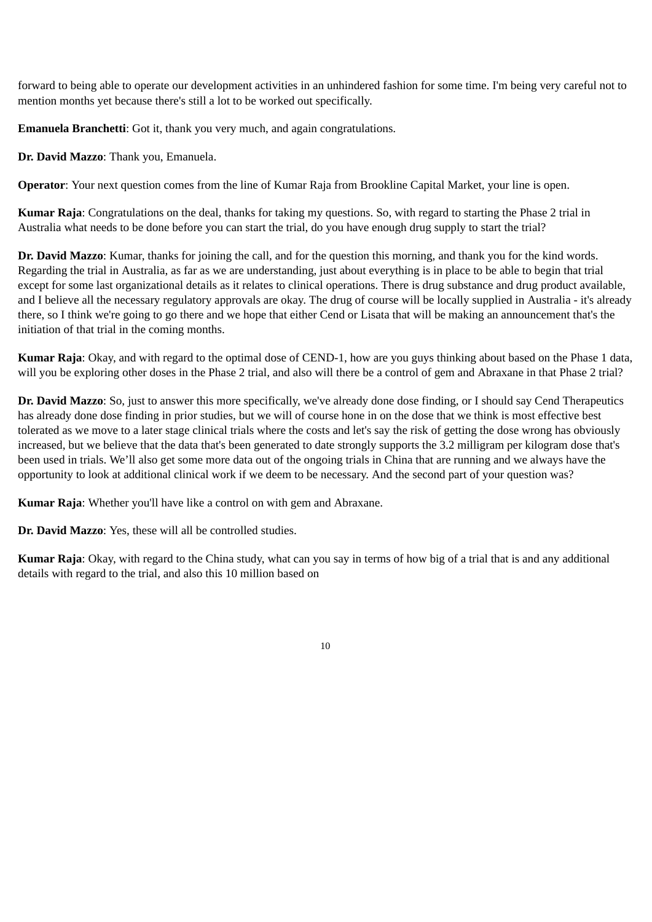forward to being able to operate our development activities in an unhindered fashion for some time. I'm being very careful not to mention months yet because there's still a lot to be worked out specifically.

**Emanuela Branchetti**: Got it, thank you very much, and again congratulations.

**Dr. David Mazzo**: Thank you, Emanuela.

**Operator**: Your next question comes from the line of Kumar Raja from Brookline Capital Market, your line is open.

**Kumar Raja**: Congratulations on the deal, thanks for taking my questions. So, with regard to starting the Phase 2 trial in Australia what needs to be done before you can start the trial, do you have enough drug supply to start the trial?

**Dr. David Mazzo**: Kumar, thanks for joining the call, and for the question this morning, and thank you for the kind words. Regarding the trial in Australia, as far as we are understanding, just about everything is in place to be able to begin that trial except for some last organizational details as it relates to clinical operations. There is drug substance and drug product available, and I believe all the necessary regulatory approvals are okay. The drug of course will be locally supplied in Australia - it's already there, so I think we're going to go there and we hope that either Cend or Lisata that will be making an announcement that's the initiation of that trial in the coming months.

**Kumar Raja**: Okay, and with regard to the optimal dose of CEND-1, how are you guys thinking about based on the Phase 1 data, will you be exploring other doses in the Phase 2 trial, and also will there be a control of gem and Abraxane in that Phase 2 trial?

**Dr. David Mazzo**: So, just to answer this more specifically, we've already done dose finding, or I should say Cend Therapeutics has already done dose finding in prior studies, but we will of course hone in on the dose that we think is most effective best tolerated as we move to a later stage clinical trials where the costs and let's say the risk of getting the dose wrong has obviously increased, but we believe that the data that's been generated to date strongly supports the 3.2 milligram per kilogram dose that's been used in trials. We'll also get some more data out of the ongoing trials in China that are running and we always have the opportunity to look at additional clinical work if we deem to be necessary. And the second part of your question was?

**Kumar Raja**: Whether you'll have like a control on with gem and Abraxane.

**Dr. David Mazzo**: Yes, these will all be controlled studies.

**Kumar Raja**: Okay, with regard to the China study, what can you say in terms of how big of a trial that is and any additional details with regard to the trial, and also this 10 million based on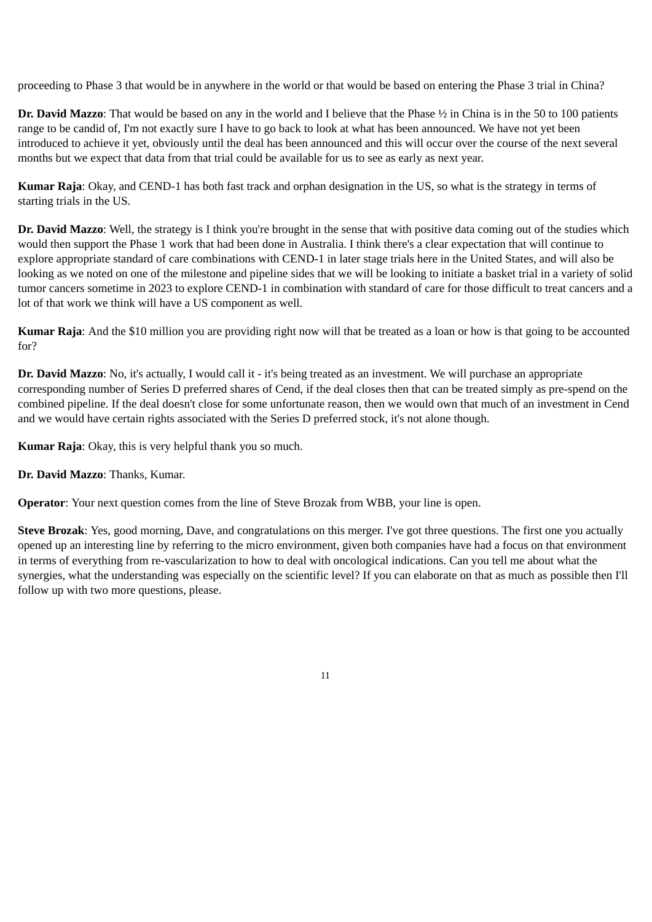proceeding to Phase 3 that would be in anywhere in the world or that would be based on entering the Phase 3 trial in China?

**Dr. David Mazzo**: That would be based on any in the world and I believe that the Phase ½ in China is in the 50 to 100 patients range to be candid of, I'm not exactly sure I have to go back to look at what has been announced. We have not yet been introduced to achieve it yet, obviously until the deal has been announced and this will occur over the course of the next several months but we expect that data from that trial could be available for us to see as early as next year.

**Kumar Raja**: Okay, and CEND-1 has both fast track and orphan designation in the US, so what is the strategy in terms of starting trials in the US.

**Dr. David Mazzo**: Well, the strategy is I think you're brought in the sense that with positive data coming out of the studies which would then support the Phase 1 work that had been done in Australia. I think there's a clear expectation that will continue to explore appropriate standard of care combinations with CEND-1 in later stage trials here in the United States, and will also be looking as we noted on one of the milestone and pipeline sides that we will be looking to initiate a basket trial in a variety of solid tumor cancers sometime in 2023 to explore CEND-1 in combination with standard of care for those difficult to treat cancers and a lot of that work we think will have a US component as well.

**Kumar Raja**: And the \$10 million you are providing right now will that be treated as a loan or how is that going to be accounted for?

**Dr. David Mazzo**: No, it's actually, I would call it - it's being treated as an investment. We will purchase an appropriate corresponding number of Series D preferred shares of Cend, if the deal closes then that can be treated simply as pre-spend on the combined pipeline. If the deal doesn't close for some unfortunate reason, then we would own that much of an investment in Cend and we would have certain rights associated with the Series D preferred stock, it's not alone though.

**Kumar Raja**: Okay, this is very helpful thank you so much.

**Dr. David Mazzo**: Thanks, Kumar.

**Operator**: Your next question comes from the line of Steve Brozak from WBB, your line is open.

**Steve Brozak**: Yes, good morning, Dave, and congratulations on this merger. I've got three questions. The first one you actually opened up an interesting line by referring to the micro environment, given both companies have had a focus on that environment in terms of everything from re-vascularization to how to deal with oncological indications. Can you tell me about what the synergies, what the understanding was especially on the scientific level? If you can elaborate on that as much as possible then I'll follow up with two more questions, please.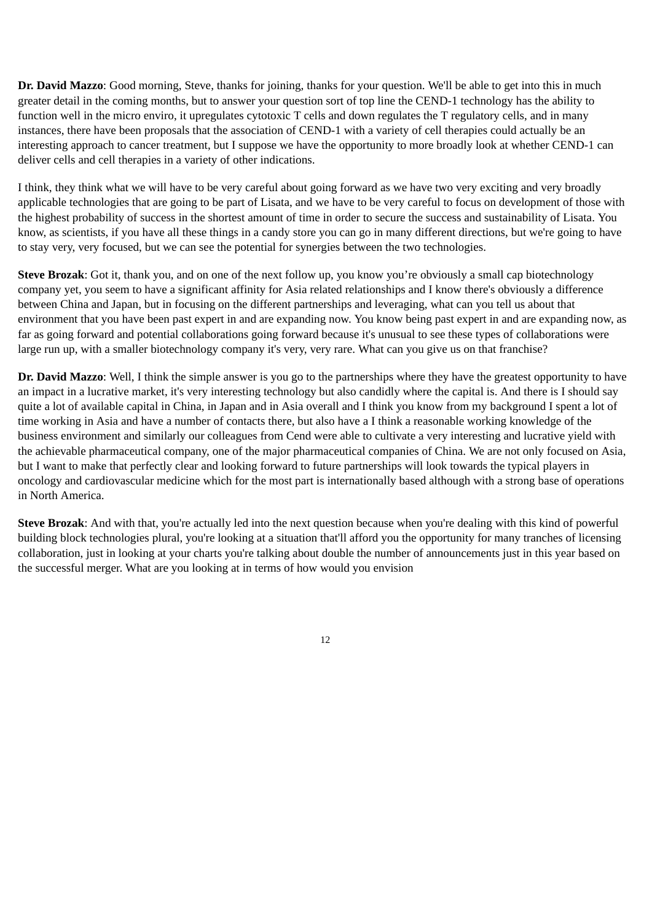**Dr. David Mazzo**: Good morning, Steve, thanks for joining, thanks for your question. We'll be able to get into this in much greater detail in the coming months, but to answer your question sort of top line the CEND-1 technology has the ability to function well in the micro enviro, it upregulates cytotoxic T cells and down regulates the T regulatory cells, and in many instances, there have been proposals that the association of CEND-1 with a variety of cell therapies could actually be an interesting approach to cancer treatment, but I suppose we have the opportunity to more broadly look at whether CEND-1 can deliver cells and cell therapies in a variety of other indications.

I think, they think what we will have to be very careful about going forward as we have two very exciting and very broadly applicable technologies that are going to be part of Lisata, and we have to be very careful to focus on development of those with the highest probability of success in the shortest amount of time in order to secure the success and sustainability of Lisata. You know, as scientists, if you have all these things in a candy store you can go in many different directions, but we're going to have to stay very, very focused, but we can see the potential for synergies between the two technologies.

**Steve Brozak**: Got it, thank you, and on one of the next follow up, you know you're obviously a small cap biotechnology company yet, you seem to have a significant affinity for Asia related relationships and I know there's obviously a difference between China and Japan, but in focusing on the different partnerships and leveraging, what can you tell us about that environment that you have been past expert in and are expanding now. You know being past expert in and are expanding now, as far as going forward and potential collaborations going forward because it's unusual to see these types of collaborations were large run up, with a smaller biotechnology company it's very, very rare. What can you give us on that franchise?

**Dr. David Mazzo**: Well, I think the simple answer is you go to the partnerships where they have the greatest opportunity to have an impact in a lucrative market, it's very interesting technology but also candidly where the capital is. And there is I should say quite a lot of available capital in China, in Japan and in Asia overall and I think you know from my background I spent a lot of time working in Asia and have a number of contacts there, but also have a I think a reasonable working knowledge of the business environment and similarly our colleagues from Cend were able to cultivate a very interesting and lucrative yield with the achievable pharmaceutical company, one of the major pharmaceutical companies of China. We are not only focused on Asia, but I want to make that perfectly clear and looking forward to future partnerships will look towards the typical players in oncology and cardiovascular medicine which for the most part is internationally based although with a strong base of operations in North America.

**Steve Brozak**: And with that, you're actually led into the next question because when you're dealing with this kind of powerful building block technologies plural, you're looking at a situation that'll afford you the opportunity for many tranches of licensing collaboration, just in looking at your charts you're talking about double the number of announcements just in this year based on the successful merger. What are you looking at in terms of how would you envision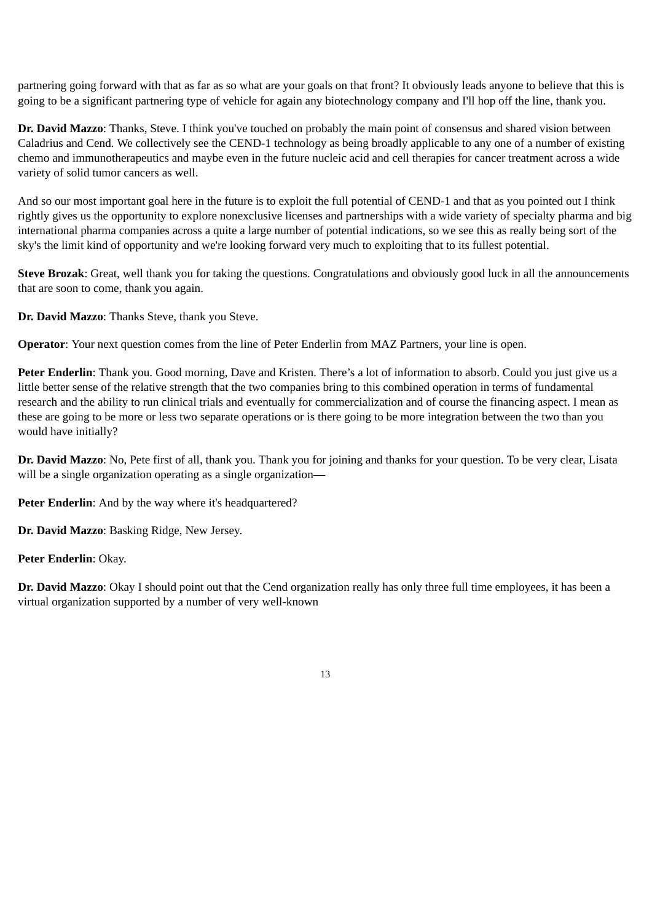partnering going forward with that as far as so what are your goals on that front? It obviously leads anyone to believe that this is going to be a significant partnering type of vehicle for again any biotechnology company and I'll hop off the line, thank you.

**Dr. David Mazzo**: Thanks, Steve. I think you've touched on probably the main point of consensus and shared vision between Caladrius and Cend. We collectively see the CEND-1 technology as being broadly applicable to any one of a number of existing chemo and immunotherapeutics and maybe even in the future nucleic acid and cell therapies for cancer treatment across a wide variety of solid tumor cancers as well.

And so our most important goal here in the future is to exploit the full potential of CEND-1 and that as you pointed out I think rightly gives us the opportunity to explore nonexclusive licenses and partnerships with a wide variety of specialty pharma and big international pharma companies across a quite a large number of potential indications, so we see this as really being sort of the sky's the limit kind of opportunity and we're looking forward very much to exploiting that to its fullest potential.

**Steve Brozak**: Great, well thank you for taking the questions. Congratulations and obviously good luck in all the announcements that are soon to come, thank you again.

**Dr. David Mazzo**: Thanks Steve, thank you Steve.

**Operator**: Your next question comes from the line of Peter Enderlin from MAZ Partners, your line is open.

**Peter Enderlin**: Thank you. Good morning, Dave and Kristen. There's a lot of information to absorb. Could you just give us a little better sense of the relative strength that the two companies bring to this combined operation in terms of fundamental research and the ability to run clinical trials and eventually for commercialization and of course the financing aspect. I mean as these are going to be more or less two separate operations or is there going to be more integration between the two than you would have initially?

**Dr. David Mazzo**: No, Pete first of all, thank you. Thank you for joining and thanks for your question. To be very clear, Lisata will be a single organization operating as a single organization—

**Peter Enderlin**: And by the way where it's headquartered?

**Dr. David Mazzo**: Basking Ridge, New Jersey.

**Peter Enderlin**: Okay.

**Dr. David Mazzo**: Okay I should point out that the Cend organization really has only three full time employees, it has been a virtual organization supported by a number of very well-known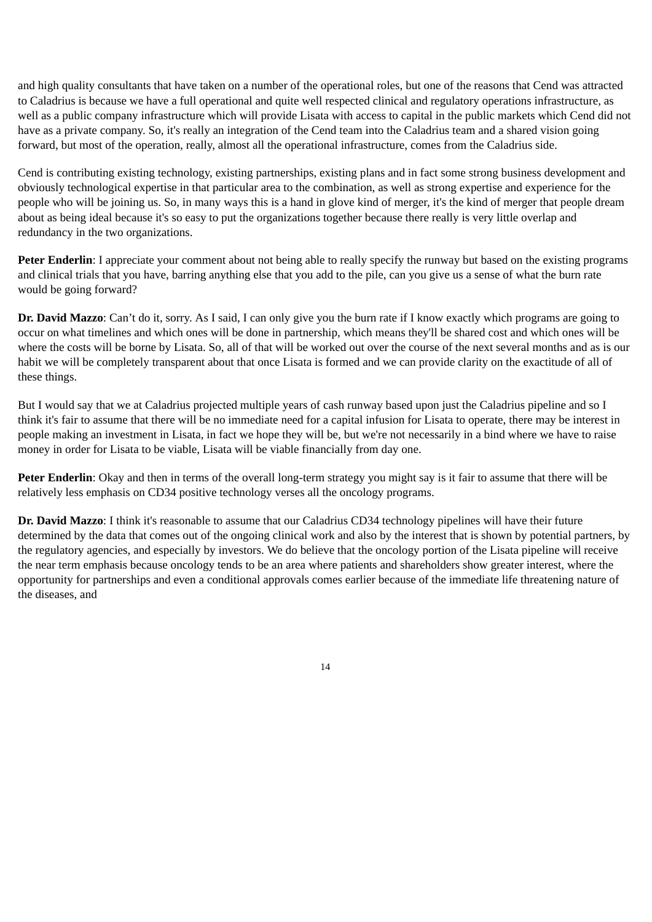and high quality consultants that have taken on a number of the operational roles, but one of the reasons that Cend was attracted to Caladrius is because we have a full operational and quite well respected clinical and regulatory operations infrastructure, as well as a public company infrastructure which will provide Lisata with access to capital in the public markets which Cend did not have as a private company. So, it's really an integration of the Cend team into the Caladrius team and a shared vision going forward, but most of the operation, really, almost all the operational infrastructure, comes from the Caladrius side.

Cend is contributing existing technology, existing partnerships, existing plans and in fact some strong business development and obviously technological expertise in that particular area to the combination, as well as strong expertise and experience for the people who will be joining us. So, in many ways this is a hand in glove kind of merger, it's the kind of merger that people dream about as being ideal because it's so easy to put the organizations together because there really is very little overlap and redundancy in the two organizations.

**Peter Enderlin**: I appreciate your comment about not being able to really specify the runway but based on the existing programs and clinical trials that you have, barring anything else that you add to the pile, can you give us a sense of what the burn rate would be going forward?

**Dr. David Mazzo**: Can't do it, sorry. As I said, I can only give you the burn rate if I know exactly which programs are going to occur on what timelines and which ones will be done in partnership, which means they'll be shared cost and which ones will be where the costs will be borne by Lisata. So, all of that will be worked out over the course of the next several months and as is our habit we will be completely transparent about that once Lisata is formed and we can provide clarity on the exactitude of all of these things.

But I would say that we at Caladrius projected multiple years of cash runway based upon just the Caladrius pipeline and so I think it's fair to assume that there will be no immediate need for a capital infusion for Lisata to operate, there may be interest in people making an investment in Lisata, in fact we hope they will be, but we're not necessarily in a bind where we have to raise money in order for Lisata to be viable, Lisata will be viable financially from day one.

**Peter Enderlin**: Okay and then in terms of the overall long-term strategy you might say is it fair to assume that there will be relatively less emphasis on CD34 positive technology verses all the oncology programs.

**Dr. David Mazzo**: I think it's reasonable to assume that our Caladrius CD34 technology pipelines will have their future determined by the data that comes out of the ongoing clinical work and also by the interest that is shown by potential partners, by the regulatory agencies, and especially by investors. We do believe that the oncology portion of the Lisata pipeline will receive the near term emphasis because oncology tends to be an area where patients and shareholders show greater interest, where the opportunity for partnerships and even a conditional approvals comes earlier because of the immediate life threatening nature of the diseases, and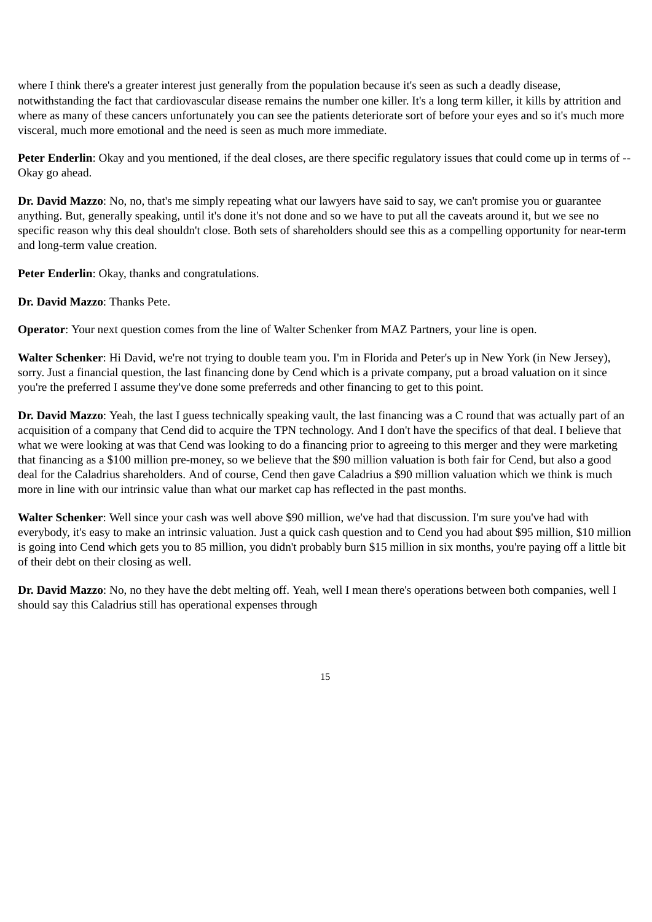where I think there's a greater interest just generally from the population because it's seen as such a deadly disease, notwithstanding the fact that cardiovascular disease remains the number one killer. It's a long term killer, it kills by attrition and where as many of these cancers unfortunately you can see the patients deteriorate sort of before your eyes and so it's much more visceral, much more emotional and the need is seen as much more immediate.

**Peter Enderlin**: Okay and you mentioned, if the deal closes, are there specific regulatory issues that could come up in terms of --Okay go ahead.

**Dr. David Mazzo**: No, no, that's me simply repeating what our lawyers have said to say, we can't promise you or guarantee anything. But, generally speaking, until it's done it's not done and so we have to put all the caveats around it, but we see no specific reason why this deal shouldn't close. Both sets of shareholders should see this as a compelling opportunity for near-term and long-term value creation.

**Peter Enderlin**: Okay, thanks and congratulations.

**Dr. David Mazzo**: Thanks Pete.

**Operator**: Your next question comes from the line of Walter Schenker from MAZ Partners, your line is open.

**Walter Schenker**: Hi David, we're not trying to double team you. I'm in Florida and Peter's up in New York (in New Jersey), sorry. Just a financial question, the last financing done by Cend which is a private company, put a broad valuation on it since you're the preferred I assume they've done some preferreds and other financing to get to this point.

**Dr. David Mazzo**: Yeah, the last I guess technically speaking vault, the last financing was a C round that was actually part of an acquisition of a company that Cend did to acquire the TPN technology. And I don't have the specifics of that deal. I believe that what we were looking at was that Cend was looking to do a financing prior to agreeing to this merger and they were marketing that financing as a \$100 million pre-money, so we believe that the \$90 million valuation is both fair for Cend, but also a good deal for the Caladrius shareholders. And of course, Cend then gave Caladrius a \$90 million valuation which we think is much more in line with our intrinsic value than what our market cap has reflected in the past months.

**Walter Schenker**: Well since your cash was well above \$90 million, we've had that discussion. I'm sure you've had with everybody, it's easy to make an intrinsic valuation. Just a quick cash question and to Cend you had about \$95 million, \$10 million is going into Cend which gets you to 85 million, you didn't probably burn \$15 million in six months, you're paying off a little bit of their debt on their closing as well.

**Dr. David Mazzo**: No, no they have the debt melting off. Yeah, well I mean there's operations between both companies, well I should say this Caladrius still has operational expenses through